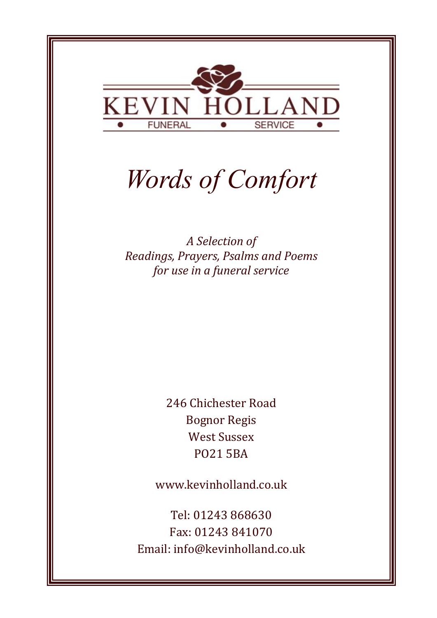

# *Words of Comfort*

*A Selection of Readings, Prayers, Psalms and Poems for use in a funeral service*

> 246 Chichester Road Bognor Regis West Sussex PO21 5BA

www.kevinholland.co.uk

Tel: 01243 868630 Fax: 01243 841070 Email: info@kevinholland.co.uk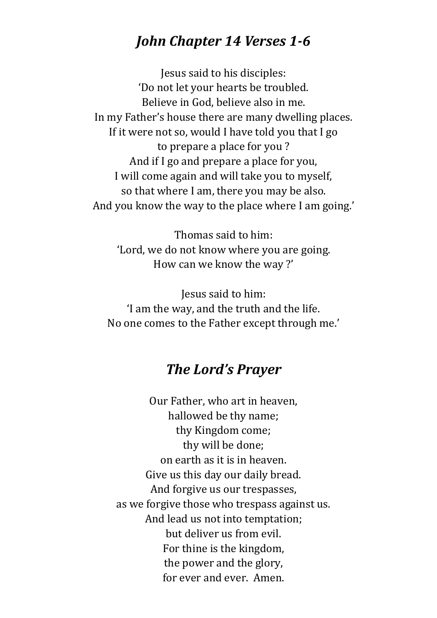## *John Chapter 14 Verses 1-6*

Jesus said to his disciples: 'Do not let your hearts be troubled. Believe in God, believe also in me. In my Father's house there are many dwelling places. If it were not so, would I have told you that I go to prepare a place for you ? And if I go and prepare a place for you, I will come again and will take you to myself, so that where I am, there you may be also. And you know the way to the place where I am going.'

Thomas said to him: 'Lord, we do not know where you are going. How can we know the way ?'

Jesus said to him: 'I am the way, and the truth and the life. No one comes to the Father except through me.'

#### *The Lord's Prayer*

Our Father, who art in heaven, hallowed be thy name; thy Kingdom come; thy will be done; on earth as it is in heaven. Give us this day our daily bread. And forgive us our trespasses, as we forgive those who trespass against us. And lead us not into temptation; but deliver us from evil. For thine is the kingdom, the power and the glory, for ever and ever. Amen.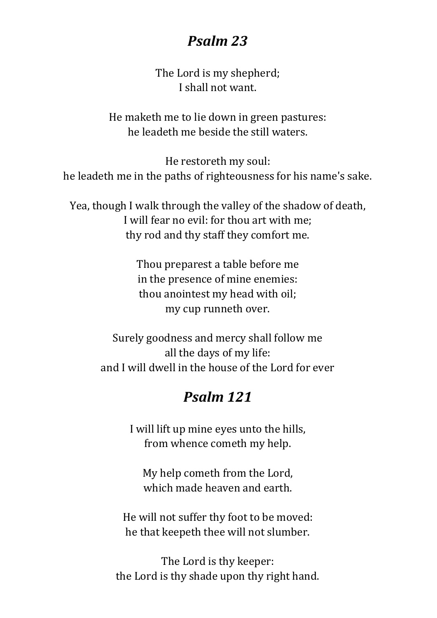## *Psalm 23*

The Lord is my shepherd; I shall not want.

He maketh me to lie down in green pastures: he leadeth me beside the still waters.

He restoreth my soul: he leadeth me in the paths of righteousness for his name's sake.

Yea, though I walk through the valley of the shadow of death, I will fear no evil: for thou art with me; thy rod and thy staff they comfort me.

> Thou preparest a table before me in the presence of mine enemies: thou anointest my head with oil; my cup runneth over.

Surely goodness and mercy shall follow me all the days of my life: and I will dwell in the house of the Lord for ever

## *Psalm 121*

I will lift up mine eyes unto the hills, from whence cometh my help.

My help cometh from the Lord, which made heaven and earth.

He will not suffer thy foot to be moved: he that keepeth thee will not slumber.

The Lord is thy keeper: the Lord is thy shade upon thy right hand.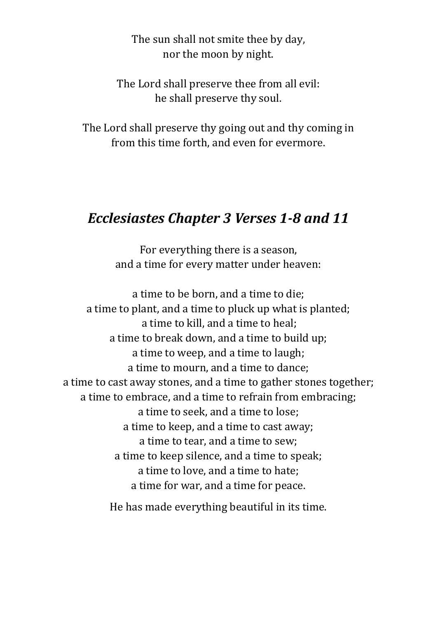The sun shall not smite thee by day, nor the moon by night.

The Lord shall preserve thee from all evil: he shall preserve thy soul.

The Lord shall preserve thy going out and thy coming in from this time forth, and even for evermore.

## *Ecclesiastes Chapter 3 Verses 1-8 and 11*

For everything there is a season, and a time for every matter under heaven:

a time to be born, and a time to die; a time to plant, and a time to pluck up what is planted; a time to kill, and a time to heal; a time to break down, and a time to build up; a time to weep, and a time to laugh; a time to mourn, and a time to dance; a time to cast away stones, and a time to gather stones together; a time to embrace, and a time to refrain from embracing; a time to seek, and a time to lose; a time to keep, and a time to cast away; a time to tear, and a time to sew; a time to keep silence, and a time to speak; a time to love, and a time to hate; a time for war, and a time for peace.

He has made everything beautiful in its time.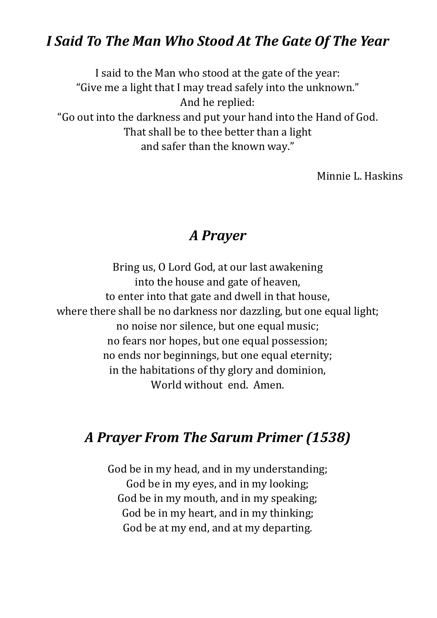## *I Said To The Man Who Stood At The Gate Of The Year*

I said to the Man who stood at the gate of the year: "Give me a light that I may tread safely into the unknown." And he replied: "Go out into the darkness and put your hand into the Hand of God. That shall be to thee better than a light and safer than the known way."

Minnie L. Haskins

# *A Prayer*

Bring us, O Lord God, at our last awakening into the house and gate of heaven, to enter into that gate and dwell in that house, where there shall be no darkness nor dazzling, but one equal light; no noise nor silence, but one equal music; no fears nor hopes, but one equal possession; no ends nor beginnings, but one equal eternity; in the habitations of thy glory and dominion, World without end. Amen.

## *A Prayer From The Sarum Primer (1538)*

God be in my head, and in my understanding; God be in my eyes, and in my looking; God be in my mouth, and in my speaking; God be in my heart, and in my thinking; God be at my end, and at my departing.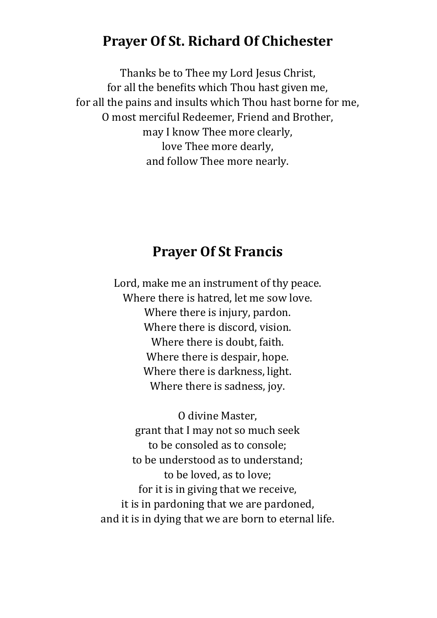## **Prayer Of St. Richard Of Chichester**

Thanks be to Thee my Lord Jesus Christ, for all the benefits which Thou hast given me, for all the pains and insults which Thou hast borne for me, O most merciful Redeemer, Friend and Brother, may I know Thee more clearly, love Thee more dearly, and follow Thee more nearly.

## **Prayer Of St Francis**

Lord, make me an instrument of thy peace. Where there is hatred, let me sow love. Where there is injury, pardon. Where there is discord, vision. Where there is doubt, faith. Where there is despair, hope. Where there is darkness, light. Where there is sadness, joy.

O divine Master, grant that I may not so much seek to be consoled as to console; to be understood as to understand; to be loved, as to love; for it is in giving that we receive, it is in pardoning that we are pardoned, and it is in dying that we are born to eternal life.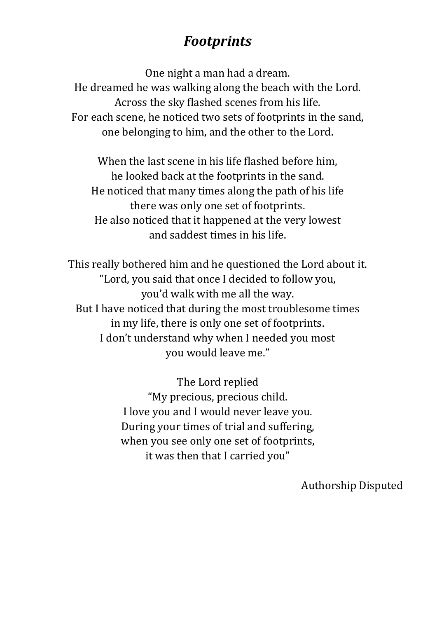# *Footprints*

One night a man had a dream. He dreamed he was walking along the beach with the Lord. Across the sky flashed scenes from his life. For each scene, he noticed two sets of footprints in the sand, one belonging to him, and the other to the Lord.

When the last scene in his life flashed before him, he looked back at the footprints in the sand. He noticed that many times along the path of his life there was only one set of footprints. He also noticed that it happened at the very lowest and saddest times in his life.

This really bothered him and he questioned the Lord about it. "Lord, you said that once I decided to follow you, you'd walk with me all the way. But I have noticed that during the most troublesome times in my life, there is only one set of footprints. I don't understand why when I needed you most you would leave me."

> The Lord replied "My precious, precious child. I love you and I would never leave you. During your times of trial and suffering, when you see only one set of footprints, it was then that I carried you"

> > Authorship Disputed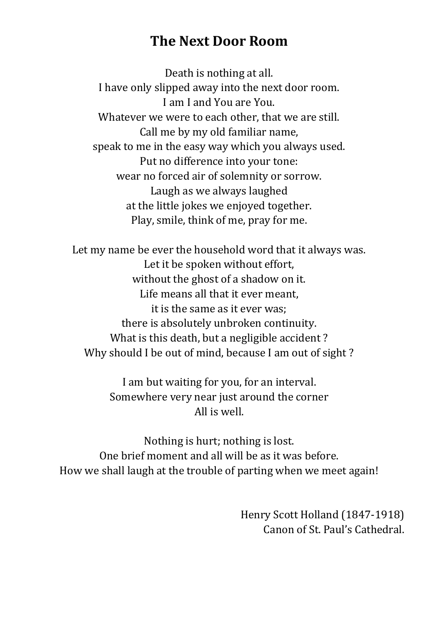## **The Next Door Room**

Death is nothing at all. I have only slipped away into the next door room. I am I and You are You. Whatever we were to each other, that we are still. Call me by my old familiar name, speak to me in the easy way which you always used. Put no difference into your tone: wear no forced air of solemnity or sorrow. Laugh as we always laughed at the little jokes we enjoyed together. Play, smile, think of me, pray for me.

Let my name be ever the household word that it always was. Let it be spoken without effort, without the ghost of a shadow on it. Life means all that it ever meant, it is the same as it ever was; there is absolutely unbroken continuity. What is this death, but a negligible accident ? Why should I be out of mind, because I am out of sight ?

> I am but waiting for you, for an interval. Somewhere very near just around the corner All is well.

Nothing is hurt; nothing is lost. One brief moment and all will be as it was before. How we shall laugh at the trouble of parting when we meet again!

> Henry Scott Holland (1847-1918) Canon of St. Paul's Cathedral.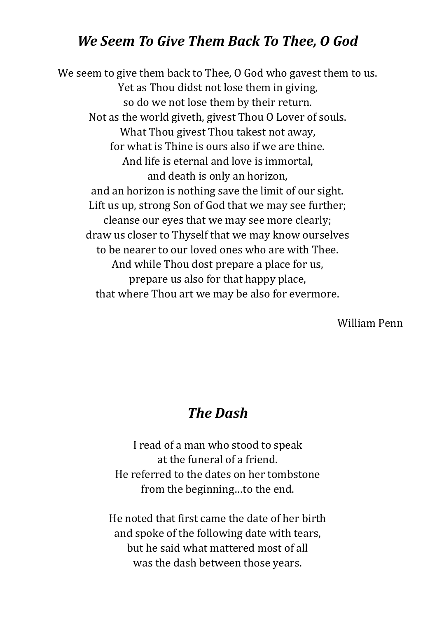## *We Seem To Give Them Back To Thee, O God*

We seem to give them back to Thee, O God who gavest them to us. Yet as Thou didst not lose them in giving, so do we not lose them by their return. Not as the world giveth, givest Thou O Lover of souls. What Thou givest Thou takest not away, for what is Thine is ours also if we are thine. And life is eternal and love is immortal, and death is only an horizon, and an horizon is nothing save the limit of our sight. Lift us up, strong Son of God that we may see further; cleanse our eyes that we may see more clearly; draw us closer to Thyself that we may know ourselves to be nearer to our loved ones who are with Thee. And while Thou dost prepare a place for us, prepare us also for that happy place, that where Thou art we may be also for evermore.

William Penn

## *The Dash*

I read of a man who stood to speak at the funeral of a friend. He referred to the dates on her tombstone from the beginning…to the end.

He noted that first came the date of her birth and spoke of the following date with tears, but he said what mattered most of all was the dash between those years.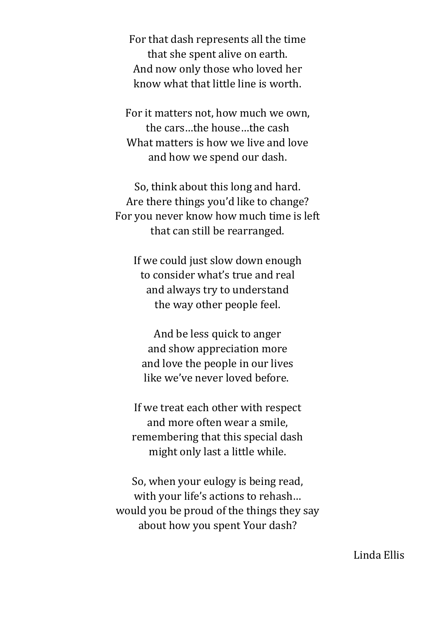For that dash represents all the time that she spent alive on earth. And now only those who loved her know what that little line is worth.

For it matters not, how much we own, the cars…the house…the cash What matters is how we live and love and how we spend our dash.

So, think about this long and hard. Are there things you'd like to change? For you never know how much time is left that can still be rearranged.

If we could just slow down enough to consider what's true and real and always try to understand the way other people feel.

And be less quick to anger and show appreciation more and love the people in our lives like we've never loved before.

If we treat each other with respect and more often wear a smile, remembering that this special dash might only last a little while.

So, when your eulogy is being read, with your life's actions to rehash… would you be proud of the things they say about how you spent Your dash?

Linda Ellis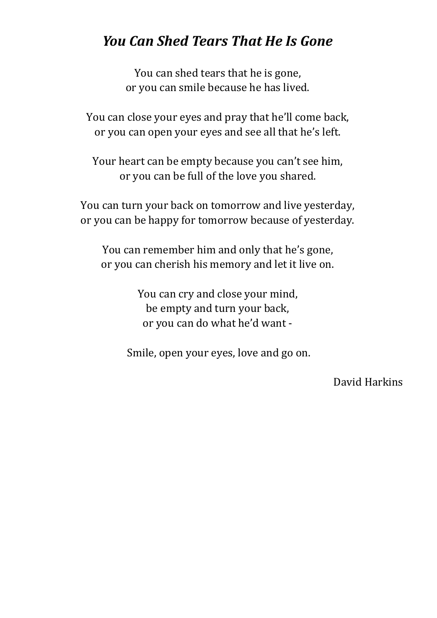## *You Can Shed Tears That He Is Gone*

You can shed tears that he is gone, or you can smile because he has lived.

You can close your eyes and pray that he'll come back, or you can open your eyes and see all that he's left.

Your heart can be empty because you can't see him, or you can be full of the love you shared.

You can turn your back on tomorrow and live yesterday, or you can be happy for tomorrow because of yesterday.

You can remember him and only that he's gone, or you can cherish his memory and let it live on.

> You can cry and close your mind, be empty and turn your back, or you can do what he'd want -

Smile, open your eyes, love and go on.

David Harkins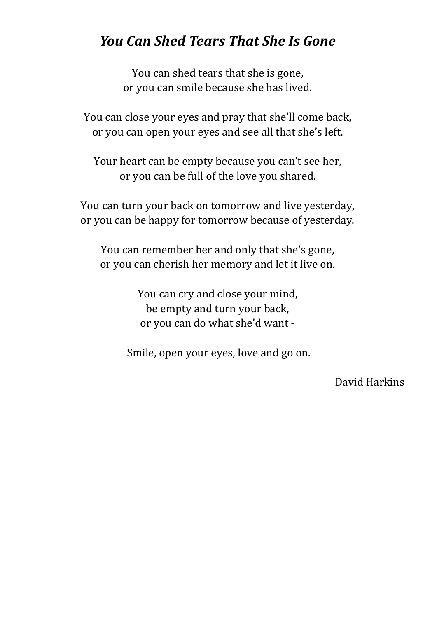## *You Can Shed Tears That She Is Gone*

You can shed tears that she is gone, or you can smile because she has lived.

You can close your eyes and pray that she'll come back, or you can open your eyes and see all that she's left.

Your heart can be empty because you can't see her, or you can be full of the love you shared.

You can turn your back on tomorrow and live yesterday, or you can be happy for tomorrow because of yesterday.

You can remember her and only that she's gone, or you can cherish her memory and let it live on.

> You can cry and close your mind, be empty and turn your back, or you can do what she'd want -

Smile, open your eyes, love and go on.

David Harkins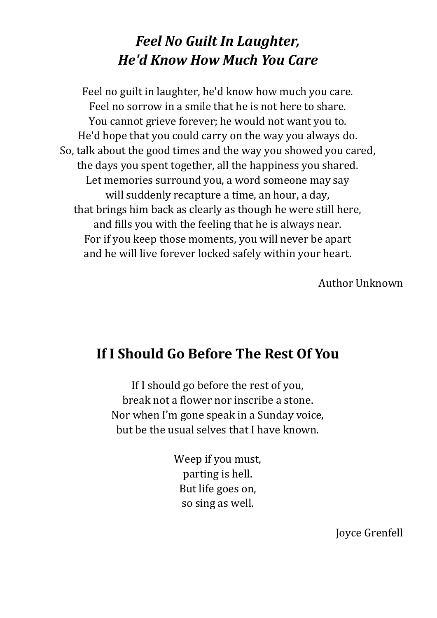# *Feel No Guilt In Laughter, He'd Know How Much You Care*

Feel no guilt in laughter, he'd know how much you care. Feel no sorrow in a smile that he is not here to share. You cannot grieve forever; he would not want you to. He'd hope that you could carry on the way you always do. So, talk about the good times and the way you showed you cared, the days you spent together, all the happiness you shared. Let memories surround you, a word someone may say will suddenly recapture a time, an hour, a day, that brings him back as clearly as though he were still here, and fills you with the feeling that he is always near. For if you keep those moments, you will never be apart and he will live forever locked safely within your heart.

Author Unknown

# **If I Should Go Before The Rest Of You**

If I should go before the rest of you, break not a flower nor inscribe a stone. Nor when I'm gone speak in a Sunday voice, but be the usual selves that I have known.

> Weep if you must, parting is hell. But life goes on, so sing as well.

> > Joyce Grenfell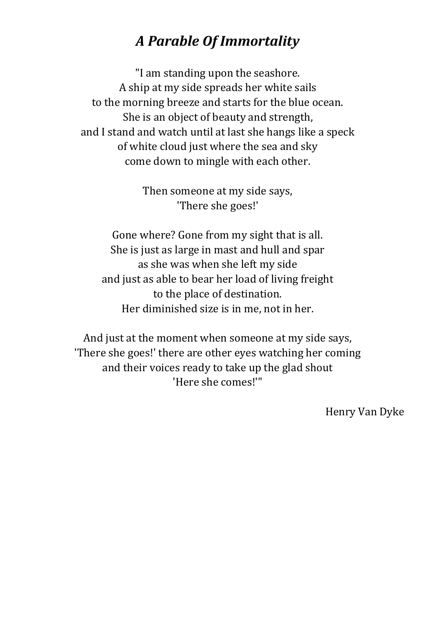# *A Parable Of Immortality*

"I am standing upon the seashore. A ship at my side spreads her white sails to the morning breeze and starts for the blue ocean. She is an object of beauty and strength, and I stand and watch until at last she hangs like a speck of white cloud just where the sea and sky come down to mingle with each other.

> Then someone at my side says, 'There she goes!'

Gone where? Gone from my sight that is all. She is just as large in mast and hull and spar as she was when she left my side and just as able to bear her load of living freight to the place of destination. Her diminished size is in me, not in her.

And just at the moment when someone at my side says, 'There she goes!' there are other eyes watching her coming and their voices ready to take up the glad shout 'Here she comes!'"

Henry Van Dyke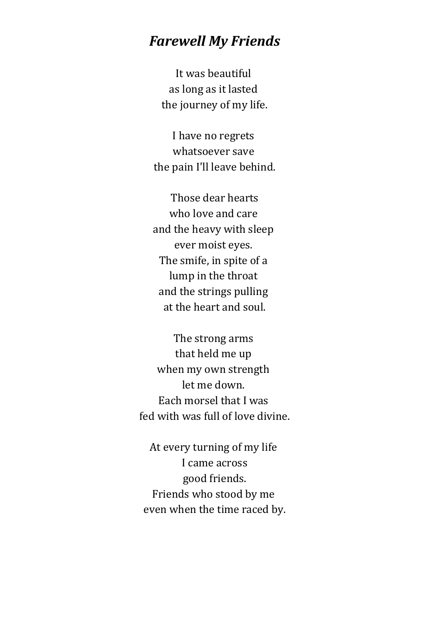#### *Farewell My Friends*

It was beautiful as long as it lasted the journey of my life.

I have no regrets whatsoever save the pain I'll leave behind.

Those dear hearts who love and care and the heavy with sleep ever moist eyes. The smife, in spite of a lump in the throat and the strings pulling at the heart and soul.

The strong arms that held me up when my own strength let me down. Each morsel that I was fed with was full of love divine.

At every turning of my life I came across good friends. Friends who stood by me even when the time raced by.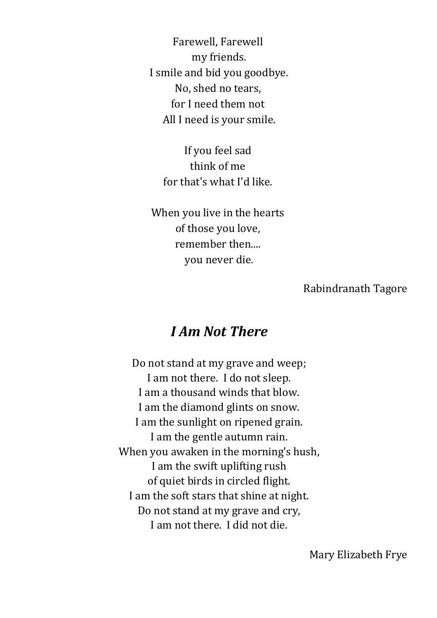Farewell, Farewell my friends. I smile and bid you goodbye. No, shed no tears, for I need them not All I need is your smile.

If you feel sad think of me for that's what I'd like.

When you live in the hearts of those you love, remember then.... you never die.

#### Rabindranath Tagore

### *I Am Not There*

Do not stand at my grave and weep; I am not there. I do not sleep. I am a thousand winds that blow. I am the diamond glints on snow. I am the sunlight on ripened grain. I am the gentle autumn rain. When you awaken in the morning's hush, I am the swift uplifting rush of quiet birds in circled flight. I am the soft stars that shine at night. Do not stand at my grave and cry, I am not there. I did not die.

Mary Elizabeth Frye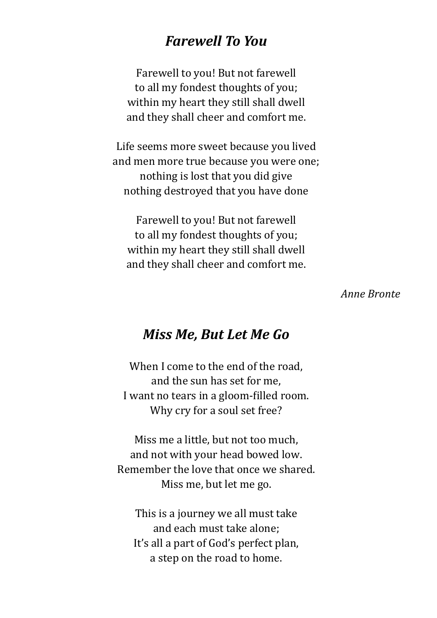## *Farewell To You*

Farewell to you! But not farewell to all my fondest thoughts of you; within my heart they still shall dwell and they shall cheer and comfort me.

Life seems more sweet because you lived and men more true because you were one; nothing is lost that you did give nothing destroyed that you have done

Farewell to you! But not farewell to all my fondest thoughts of you; within my heart they still shall dwell and they shall cheer and comfort me.

#### *Anne Bronte*

#### *Miss Me, But Let Me Go*

When I come to the end of the road. and the sun has set for me, I want no tears in a gloom-filled room. Why cry for a soul set free?

Miss me a little, but not too much, and not with your head bowed low. Remember the love that once we shared. Miss me, but let me go.

This is a journey we all must take and each must take alone; It's all a part of God's perfect plan, a step on the road to home.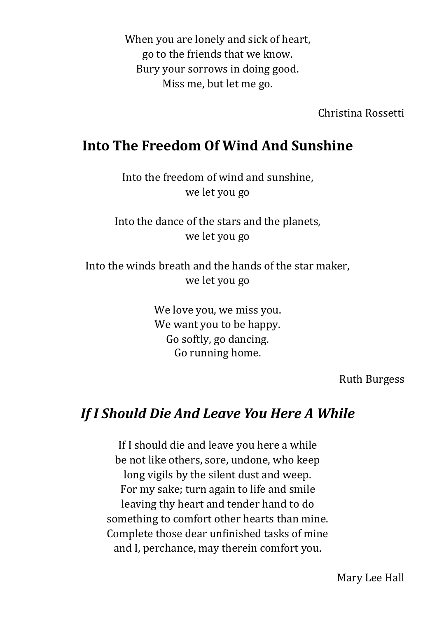When you are lonely and sick of heart, go to the friends that we know. Bury your sorrows in doing good. Miss me, but let me go.

Christina Rossetti

# **Into The Freedom Of Wind And Sunshine**

Into the freedom of wind and sunshine, we let you go

Into the dance of the stars and the planets, we let you go

Into the winds breath and the hands of the star maker, we let you go

> We love you, we miss you. We want you to be happy. Go softly, go dancing. Go running home.

> > Ruth Burgess

## *If I Should Die And Leave You Here A While*

If I should die and leave you here a while be not like others, sore, undone, who keep long vigils by the silent dust and weep. For my sake; turn again to life and smile leaving thy heart and tender hand to do something to comfort other hearts than mine. Complete those dear unfinished tasks of mine and I, perchance, may therein comfort you.

Mary Lee Hall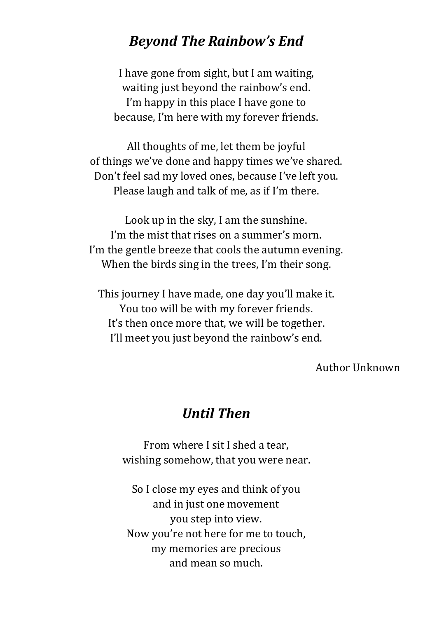#### *Beyond The Rainbow's End*

I have gone from sight, but I am waiting, waiting just beyond the rainbow's end. I'm happy in this place I have gone to because, I'm here with my forever friends.

All thoughts of me, let them be joyful of things we've done and happy times we've shared. Don't feel sad my loved ones, because I've left you. Please laugh and talk of me, as if I'm there.

Look up in the sky, I am the sunshine. I'm the mist that rises on a summer's morn. I'm the gentle breeze that cools the autumn evening. When the birds sing in the trees, I'm their song.

This journey I have made, one day you'll make it. You too will be with my forever friends. It's then once more that, we will be together. I'll meet you just beyond the rainbow's end.

Author Unknown

#### *Until Then*

From where I sit I shed a tear, wishing somehow, that you were near.

So I close my eyes and think of you and in just one movement you step into view. Now you're not here for me to touch, my memories are precious and mean so much.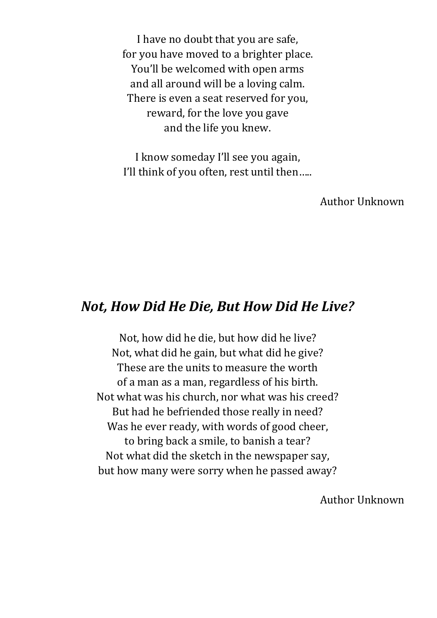I have no doubt that you are safe, for you have moved to a brighter place. You'll be welcomed with open arms and all around will be a loving calm. There is even a seat reserved for you, reward, for the love you gave and the life you knew.

I know someday I'll see you again, I'll think of you often, rest until then…..

#### Author Unknown

#### *Not, How Did He Die, But How Did He Live?*

Not, how did he die, but how did he live? Not, what did he gain, but what did he give? These are the units to measure the worth of a man as a man, regardless of his birth. Not what was his church, nor what was his creed? But had he befriended those really in need? Was he ever ready, with words of good cheer, to bring back a smile, to banish a tear? Not what did the sketch in the newspaper say, but how many were sorry when he passed away?

Author Unknown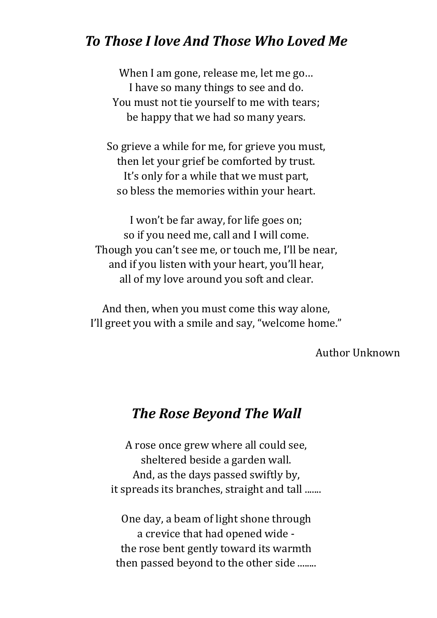## *To Those I love And Those Who Loved Me*

When I am gone, release me, let me go… I have so many things to see and do. You must not tie yourself to me with tears; be happy that we had so many years.

So grieve a while for me, for grieve you must, then let your grief be comforted by trust. It's only for a while that we must part, so bless the memories within your heart.

I won't be far away, for life goes on; so if you need me, call and I will come. Though you can't see me, or touch me, I'll be near, and if you listen with your heart, you'll hear, all of my love around you soft and clear.

And then, when you must come this way alone, I'll greet you with a smile and say, "welcome home."

Author Unknown

#### *The Rose Beyond The Wall*

A rose once grew where all could see, sheltered beside a garden wall. And, as the days passed swiftly by, it spreads its branches, straight and tall .......

One day, a beam of light shone through a crevice that had opened wide the rose bent gently toward its warmth then passed beyond to the other side ........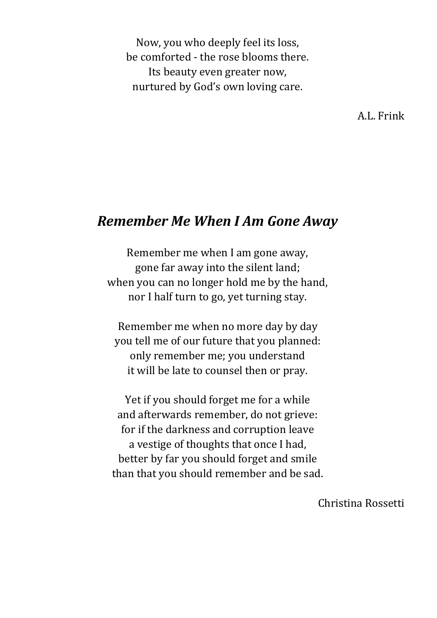Now, you who deeply feel its loss, be comforted - the rose blooms there. Its beauty even greater now, nurtured by God's own loving care.

A.L. Frink

#### *Remember Me When I Am Gone Away*

Remember me when I am gone away, gone far away into the silent land; when you can no longer hold me by the hand, nor I half turn to go, yet turning stay.

Remember me when no more day by day you tell me of our future that you planned: only remember me; you understand it will be late to counsel then or pray.

Yet if you should forget me for a while and afterwards remember, do not grieve: for if the darkness and corruption leave a vestige of thoughts that once I had, better by far you should forget and smile than that you should remember and be sad.

Christina Rossetti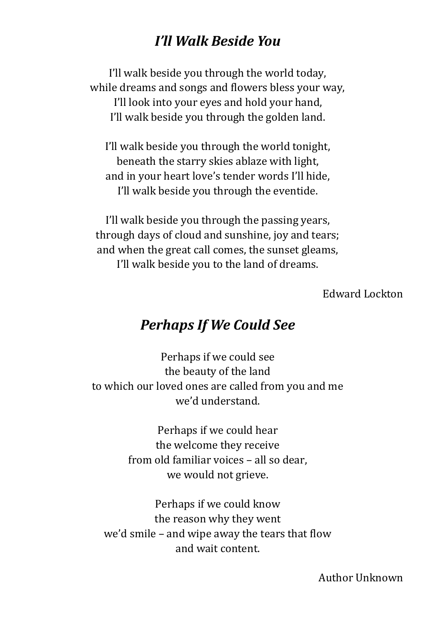## *I'll Walk Beside You*

I'll walk beside you through the world today, while dreams and songs and flowers bless your way, I'll look into your eyes and hold your hand, I'll walk beside you through the golden land.

I'll walk beside you through the world tonight, beneath the starry skies ablaze with light, and in your heart love's tender words I'll hide, I'll walk beside you through the eventide.

I'll walk beside you through the passing years, through days of cloud and sunshine, joy and tears; and when the great call comes, the sunset gleams, I'll walk beside you to the land of dreams.

Edward Lockton

## *Perhaps If We Could See*

Perhaps if we could see the beauty of the land to which our loved ones are called from you and me we'd understand.

> Perhaps if we could hear the welcome they receive from old familiar voices – all so dear, we would not grieve.

Perhaps if we could know the reason why they went we'd smile – and wipe away the tears that flow and wait content.

Author Unknown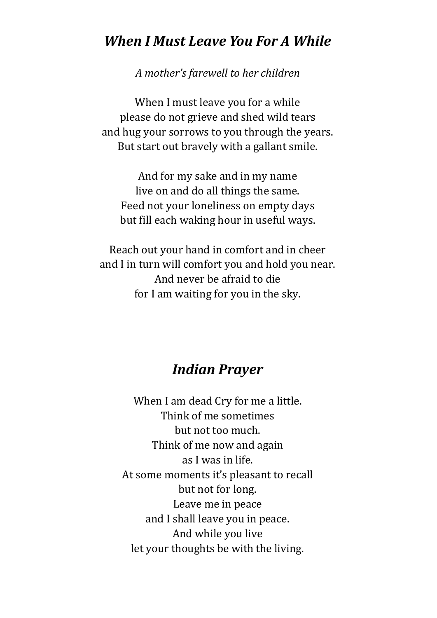## *When I Must Leave You For A While*

*A mother's farewell to her children*

When I must leave you for a while please do not grieve and shed wild tears and hug your sorrows to you through the years. But start out bravely with a gallant smile.

And for my sake and in my name live on and do all things the same. Feed not your loneliness on empty days but fill each waking hour in useful ways.

Reach out your hand in comfort and in cheer and I in turn will comfort you and hold you near. And never be afraid to die for I am waiting for you in the sky.

#### *Indian Prayer*

When I am dead Cry for me a little. Think of me sometimes but not too much. Think of me now and again as I was in life. At some moments it's pleasant to recall but not for long. Leave me in peace and I shall leave you in peace. And while you live let your thoughts be with the living.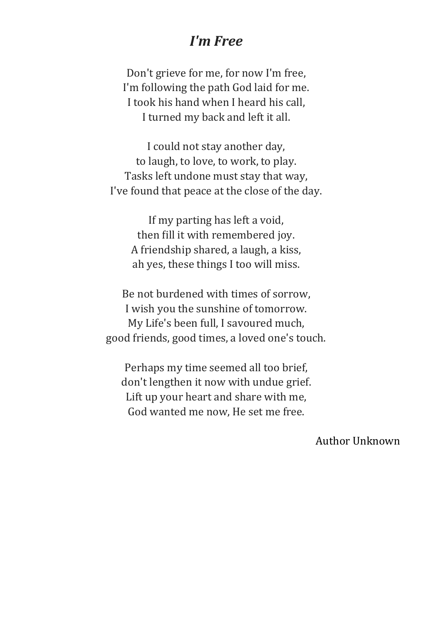## *I'm Free*

Don't grieve for me, for now I'm free, I'm following the path God laid for me. I took his hand when I heard his call, I turned my back and left it all.

I could not stay another day, to laugh, to love, to work, to play. Tasks left undone must stay that way, I've found that peace at the close of the day.

If my parting has left a void, then fill it with remembered joy. A friendship shared, a laugh, a kiss, ah yes, these things I too will miss.

Be not burdened with times of sorrow, I wish you the sunshine of tomorrow. My Life's been full, I savoured much, good friends, good times, a loved one's touch.

Perhaps my time seemed all too brief, don't lengthen it now with undue grief. Lift up your heart and share with me, God wanted me now, He set me free.

#### Author Unknown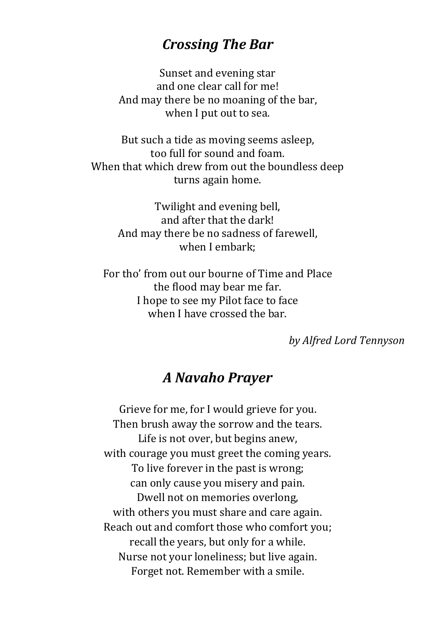#### *Crossing The Bar*

Sunset and evening star and one clear call for me! And may there be no moaning of the bar, when I put out to sea.

But such a tide as moving seems asleep, too full for sound and foam. When that which drew from out the boundless deep turns again home.

> Twilight and evening bell, and after that the dark! And may there be no sadness of farewell, when I embark;

For tho' from out our bourne of Time and Place the flood may bear me far. I hope to see my Pilot face to face when I have crossed the bar.

*by Alfred Lord Tennyson*

#### *A Navaho Prayer*

Grieve for me, for I would grieve for you. Then brush away the sorrow and the tears. Life is not over, but begins anew, with courage you must greet the coming years. To live forever in the past is wrong; can only cause you misery and pain. Dwell not on memories overlong, with others you must share and care again. Reach out and comfort those who comfort you; recall the years, but only for a while. Nurse not your loneliness; but live again. Forget not. Remember with a smile.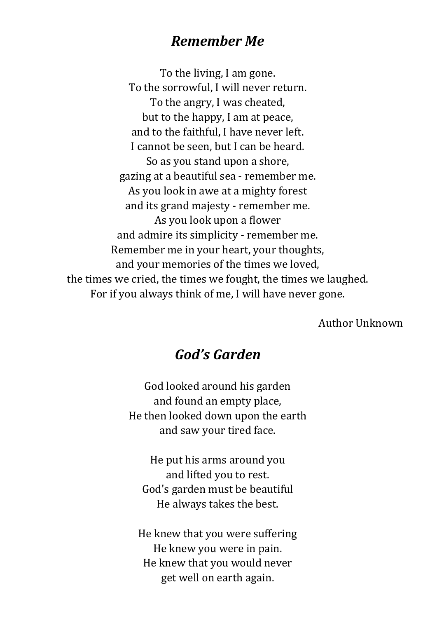## *Remember Me*

To the living, I am gone. To the sorrowful, I will never return. To the angry, I was cheated, but to the happy, I am at peace, and to the faithful, I have never left. I cannot be seen, but I can be heard. So as you stand upon a shore, gazing at a beautiful sea - remember me. As you look in awe at a mighty forest and its grand majesty - remember me. As you look upon a flower and admire its simplicity - remember me. Remember me in your heart, your thoughts, and your memories of the times we loved, the times we cried, the times we fought, the times we laughed. For if you always think of me, I will have never gone.

Author Unknown

## *God's Garden*

God looked around his garden and found an empty place, He then looked down upon the earth and saw your tired face.

He put his arms around you and lifted you to rest. God's garden must be beautiful He always takes the best.

He knew that you were suffering He knew you were in pain. He knew that you would never get well on earth again.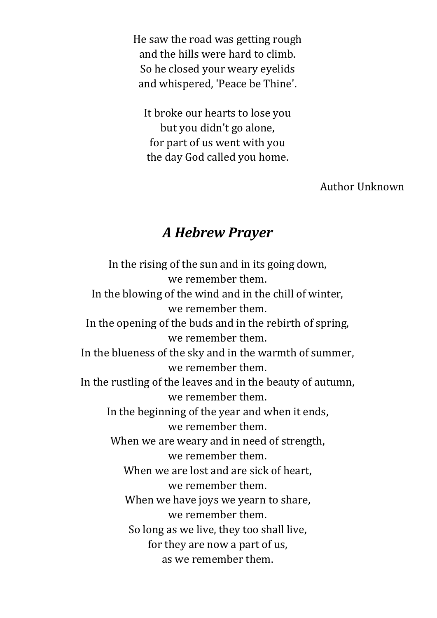He saw the road was getting rough and the hills were hard to climb. So he closed your weary eyelids and whispered, 'Peace be Thine'.

It broke our hearts to lose you but you didn't go alone, for part of us went with you the day God called you home.

#### Author Unknown

#### *A Hebrew Prayer*

In the rising of the sun and in its going down, we remember them. In the blowing of the wind and in the chill of winter, we remember them. In the opening of the buds and in the rebirth of spring, we remember them. In the blueness of the sky and in the warmth of summer, we remember them. In the rustling of the leaves and in the beauty of autumn, we remember them. In the beginning of the year and when it ends, we remember them. When we are weary and in need of strength, we remember them. When we are lost and are sick of heart we remember them. When we have joys we yearn to share. we remember them. So long as we live, they too shall live, for they are now a part of us, as we remember them.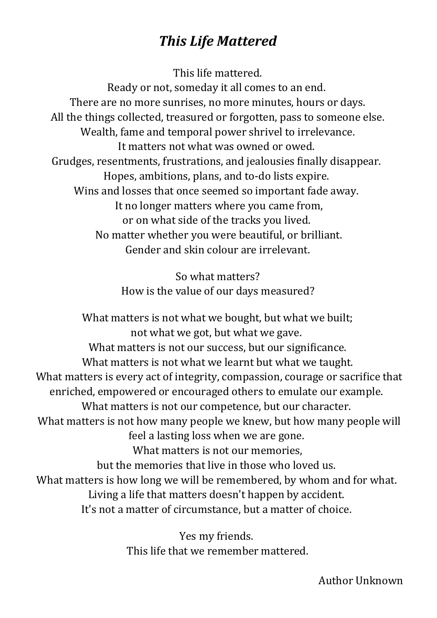# *This Life Mattered*

This life mattered.

Ready or not, someday it all comes to an end. There are no more sunrises, no more minutes, hours or days. All the things collected, treasured or forgotten, pass to someone else. Wealth, fame and temporal power shrivel to irrelevance. It matters not what was owned or owed. Grudges, resentments, frustrations, and jealousies finally disappear. Hopes, ambitions, plans, and to-do lists expire. Wins and losses that once seemed so important fade away. It no longer matters where you came from, or on what side of the tracks you lived. No matter whether you were beautiful, or brilliant. Gender and skin colour are irrelevant.

> So what matters? How is the value of our days measured?

What matters is not what we bought, but what we built; not what we got, but what we gave. What matters is not our success, but our significance. What matters is not what we learnt but what we taught. What matters is every act of integrity, compassion, courage or sacrifice that enriched, empowered or encouraged others to emulate our example. What matters is not our competence, but our character. What matters is not how many people we knew, but how many people will feel a lasting loss when we are gone. What matters is not our memories. but the memories that live in those who loved us. What matters is how long we will be remembered, by whom and for what. Living a life that matters doesn't happen by accident. It's not a matter of circumstance, but a matter of choice.

> Yes my friends. This life that we remember mattered.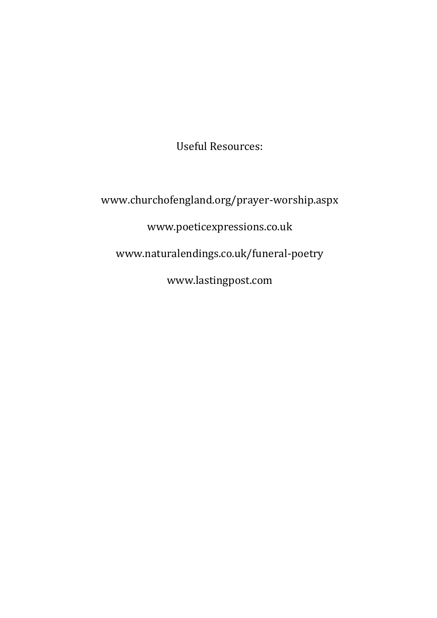Useful Resources:

www.churchofengland.org/prayer-worship.aspx www.poeticexpressions.co.uk www.naturalendings.co.uk/funeral-poetry www.lastingpost.com